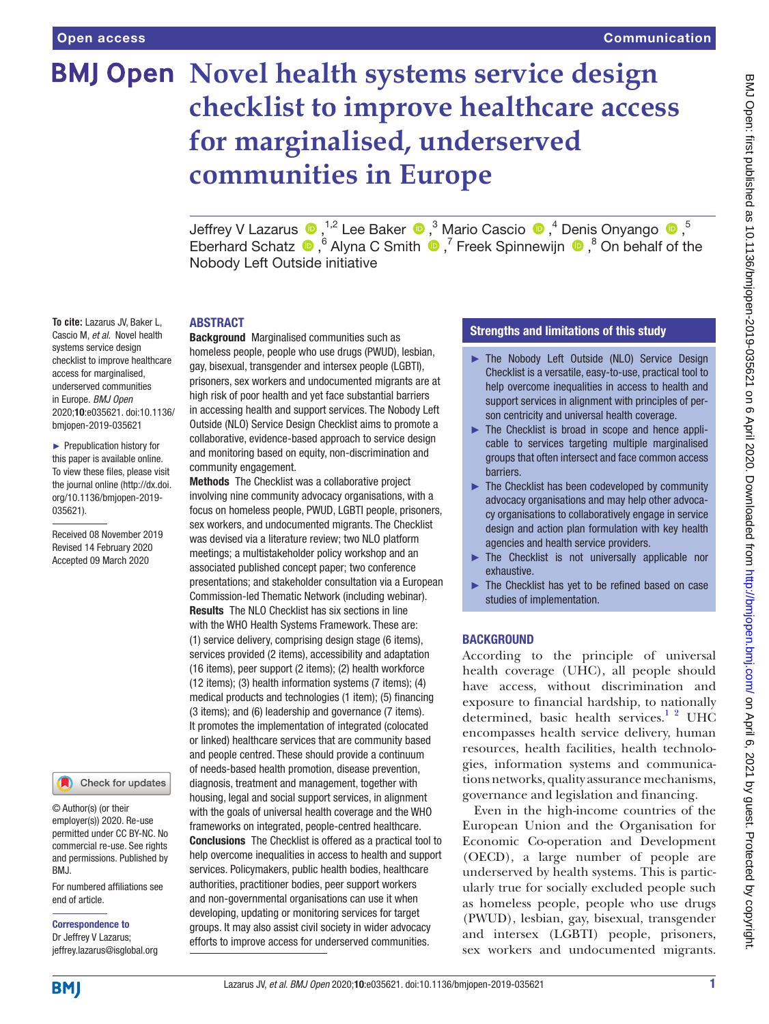# **BMJ Open Novel health systems service design checklist to improve healthcare access for marginalised, underserved communities in Europe**

JeffreyV Lazarus  $\bullet$  ,<sup>1,2</sup> Lee Baker  $\bullet$  ,<sup>3</sup> Mario Cascio  $\bullet$  ,<sup>4</sup> Denis Onyango  $\bullet$  ,<sup>5</sup> EberhardSchatz  $\bullet$ ,  $\circ$  Alyna C Smith  $\bullet$ ,  $\circ$  Freek Spinnewijn  $\bullet$ ,  $\circ$  On behalf of the Nobody Left Outside initiative

## **ABSTRACT**

**Background** Marginalised communities such as homeless people, people who use drugs (PWUD), lesbian, gay, bisexual, transgender and intersex people (LGBTI), prisoners, sex workers and undocumented migrants are at high risk of poor health and yet face substantial barriers in accessing health and support services. The Nobody Left Outside (NLO) Service Design Checklist aims to promote a collaborative, evidence-based approach to service design and monitoring based on equity, non-discrimination and community engagement.

Methods The Checklist was a collaborative project involving nine community advocacy organisations, with a focus on homeless people, PWUD, LGBTI people, prisoners, sex workers, and undocumented migrants. The Checklist was devised via a literature review; two NLO platform meetings; a multistakeholder policy workshop and an associated published concept paper; two conference presentations; and stakeholder consultation via a European Commission-led Thematic Network (including webinar). Results The NLO Checklist has six sections in line with the WHO Health Systems Framework. These are: (1) service delivery, comprising design stage (6 items), services provided (2 items), accessibility and adaptation (16 items), peer support (2 items); (2) health workforce (12 items); (3) health information systems (7 items); (4) medical products and technologies (1 item); (5) financing (3 items); and (6) leadership and governance (7 items). It promotes the implementation of integrated (colocated or linked) healthcare services that are community based and people centred. These should provide a continuum of needs-based health promotion, disease prevention, diagnosis, treatment and management, together with housing, legal and social support services, in alignment with the goals of universal health coverage and the WHO frameworks on integrated, people-centred healthcare. Conclusions The Checklist is offered as a practical tool to help overcome inequalities in access to health and support services. Policymakers, public health bodies, healthcare authorities, practitioner bodies, peer support workers and non-governmental organisations can use it when developing, updating or monitoring services for target groups. It may also assist civil society in wider advocacy efforts to improve access for underserved communities.

## Strengths and limitations of this study

- ► The Nobody Left Outside (NLO) Service Design Checklist is a versatile, easy-to-use, practical tool to help overcome inequalities in access to health and support services in alignment with principles of person centricity and universal health coverage.
- ► The Checklist is broad in scope and hence applicable to services targeting multiple marginalised groups that often intersect and face common access barriers.
- ► The Checklist has been codeveloped by community advocacy organisations and may help other advocacy organisations to collaboratively engage in service design and action plan formulation with key health agencies and health service providers.
- ► The Checklist is not universally applicable nor exhaustive.
- ► The Checklist has yet to be refined based on case studies of implementation.

## **BACKGROUND**

According to the principle of universal health coverage (UHC), all people should have access, without discrimination and exposure to financial hardship, to nationally determined, basic health services.<sup>1</sup> <sup>2</sup> UHC encompasses health service delivery, human resources, health facilities, health technologies, information systems and communications networks, quality assurance mechanisms, governance and legislation and financing.

Even in the high-income countries of the European Union and the Organisation for Economic Co-operation and Development (OECD), a large number of people are underserved by health systems. This is particularly true for socially excluded people such as homeless people, people who use drugs (PWUD), lesbian, gay, bisexual, transgender and intersex (LGBTI) people, prisoners, sex workers and undocumented migrants.

**To cite:** Lazarus JV, Baker L, Cascio M, *et al*. Novel health systems service design checklist to improve healthcare access for marginalised, underserved communities in Europe. *BMJ Open* 2020;10:e035621. doi:10.1136/ bmjopen-2019-035621

> ► Prepublication history for this paper is available online. To view these files, please visit the journal online (http://dx.doi. org/10.1136/bmjopen-2019- 035621).

Received 08 November 2019 Revised 14 February 2020 Accepted 09 March 2020

Check for updates

© Author(s) (or their employer(s)) 2020. Re-use permitted under CC BY-NC. No commercial re-use. See rights and permissions. Published by BMJ.

For numbered affiliations see end of article.

Correspondence to Dr Jeffrey V Lazarus; jeffrey.lazarus@isglobal.org



**BMI**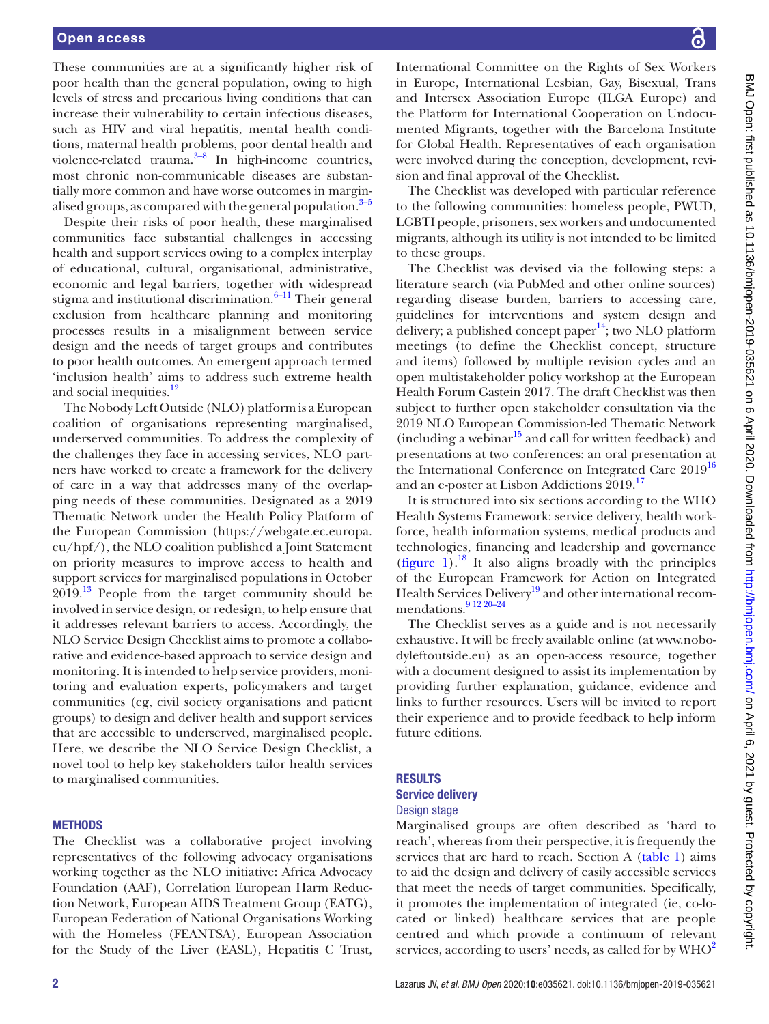These communities are at a significantly higher risk of poor health than the general population, owing to high levels of stress and precarious living conditions that can increase their vulnerability to certain infectious diseases, such as HIV and viral hepatitis, mental health conditions, maternal health problems, poor dental health and violence-related trauma. $3-8$  In high-income countries, most chronic non-communicable diseases are substantially more common and have worse outcomes in marginalised groups, as compared with the general population. $3-5$ 

Despite their risks of poor health, these marginalised communities face substantial challenges in accessing health and support services owing to a complex interplay of educational, cultural, organisational, administrative, economic and legal barriers, together with widespread stigma and institutional discrimination. $6-11$  Their general exclusion from healthcare planning and monitoring processes results in a misalignment between service design and the needs of target groups and contributes to poor health outcomes. An emergent approach termed 'inclusion health' aims to address such extreme health and social inequities.<sup>[12](#page-8-3)</sup>

The Nobody Left Outside (NLO) platform is a European coalition of organisations representing marginalised, underserved communities. To address the complexity of the challenges they face in accessing services, NLO partners have worked to create a framework for the delivery of care in a way that addresses many of the overlapping needs of these communities. Designated as a 2019 Thematic Network under the Health Policy Platform of the European Commission ([https://webgate.ec.europa.](https://webgate.ec.europa.eu/hpf/) [eu/hpf/\)](https://webgate.ec.europa.eu/hpf/), the NLO coalition published a Joint Statement on priority measures to improve access to health and support services for marginalised populations in October  $2019<sup>13</sup>$  People from the target community should be involved in service design, or redesign, to help ensure that it addresses relevant barriers to access. Accordingly, the NLO Service Design Checklist aims to promote a collaborative and evidence-based approach to service design and monitoring. It is intended to help service providers, monitoring and evaluation experts, policymakers and target communities (eg, civil society organisations and patient groups) to design and deliver health and support services that are accessible to underserved, marginalised people. Here, we describe the NLO Service Design Checklist, a novel tool to help key stakeholders tailor health services to marginalised communities.

### **METHODS**

The Checklist was a collaborative project involving representatives of the following advocacy organisations working together as the NLO initiative: Africa Advocacy Foundation (AAF), Correlation European Harm Reduction Network, European AIDS Treatment Group (EATG), European Federation of National Organisations Working with the Homeless (FEANTSA), European Association for the Study of the Liver (EASL), Hepatitis C Trust,

BMJ Open: first published as 10.1136/bmjopen-2019-035621 on 6 April 2020. Downloaded from http://bmjopen.bmj.com/ on April 6, 2021 by guest. Protected by copyright BMJ Open: first published as 10.1136/bmjopen-2019-035621 on 6 April 2020. Downloaded from <http://bmjopen.bmj.com/> on April 6, 2021 by guest. Protected by copyright.

International Committee on the Rights of Sex Workers in Europe, International Lesbian, Gay, Bisexual, Trans and Intersex Association Europe (ILGA Europe) and the Platform for International Cooperation on Undocumented Migrants, together with the Barcelona Institute for Global Health. Representatives of each organisation were involved during the conception, development, revision and final approval of the Checklist.

The Checklist was developed with particular reference to the following communities: homeless people, PWUD, LGBTI people, prisoners, sex workers and undocumented migrants, although its utility is not intended to be limited to these groups.

The Checklist was devised via the following steps: a literature search (via PubMed and other online sources) regarding disease burden, barriers to accessing care, guidelines for interventions and system design and delivery; a published concept paper $14$ ; two NLO platform meetings (to define the Checklist concept, structure and items) followed by multiple revision cycles and an open multistakeholder policy workshop at the European Health Forum Gastein 2017. The draft Checklist was then subject to further open stakeholder consultation via the 2019 NLO European Commission-led Thematic Network (including a webinar<sup>[15](#page-8-6)</sup> and call for written feedback) and presentations at two conferences: an oral presentation at the International Conference on Integrated Care 2019<sup>[16](#page-8-7)</sup> and an e-poster at Lisbon Addictions 2019[.17](#page-8-8)

It is structured into six sections according to the WHO Health Systems Framework: service delivery, health workforce, health information systems, medical products and technologies, financing and leadership and governance [\(figure](#page-2-0) 1).<sup>18</sup> It also aligns broadly with the principles of the European Framework for Action on Integrated Health Services Delivery<sup>[19](#page-8-10)</sup> and other international recommendations.<sup>9</sup> <sup>12</sup> 20-24

The Checklist serves as a guide and is not necessarily exhaustive. It will be freely available online (at [www.nobo](www.nobodyleftoutside.eu)[dyleftoutside.eu](www.nobodyleftoutside.eu)) as an open-access resource, together with a document designed to assist its implementation by providing further explanation, guidance, evidence and links to further resources. Users will be invited to report their experience and to provide feedback to help inform future editions.

## **RESULTS**

# Service delivery

## Design stage

Marginalised groups are often described as 'hard to reach', whereas from their perspective, it is frequently the services that are hard to reach. Section A [\(table](#page-3-0) 1) aims to aid the design and delivery of easily accessible services that meet the needs of target communities. Specifically, it promotes the implementation of integrated (ie, co-located or linked) healthcare services that are people centred and which provide a continuum of relevant services, according to users' needs, as called for by  $WHO<sup>2</sup>$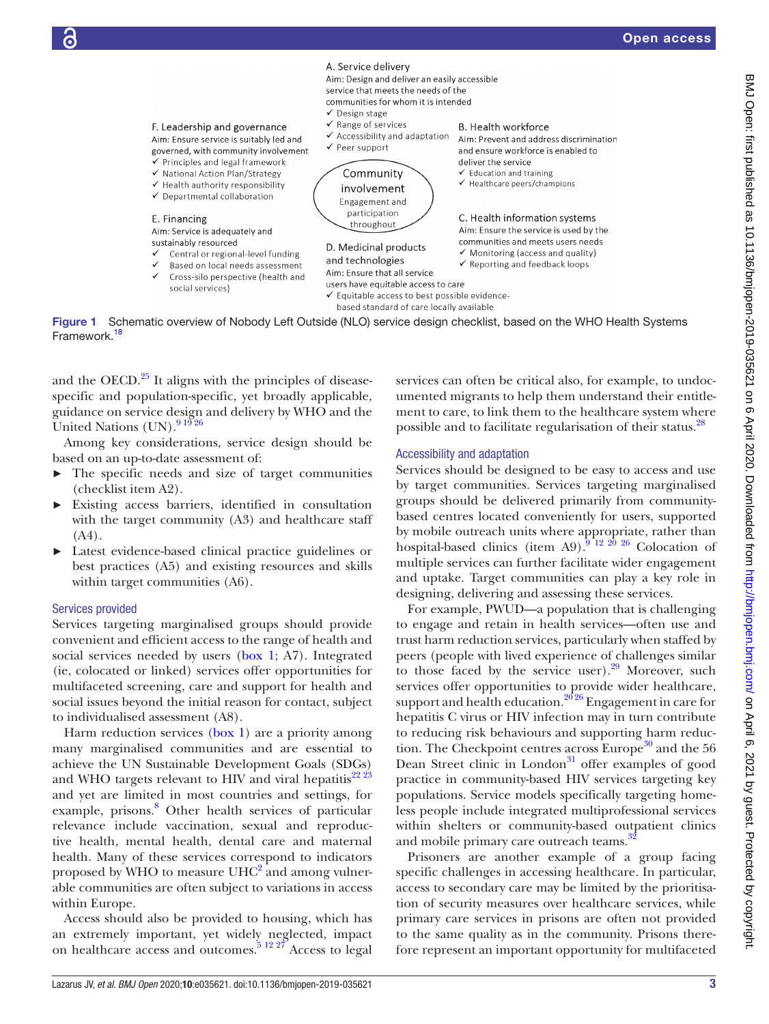

Figure 1 Schematic overview of Nobody Left Outside (NLO) service design checklist, based on the WHO Health Systems Framework.<sup>18</sup>

and the OECD. $^{25}$  It aligns with the principles of diseasespecific and population-specific, yet broadly applicable, guidance on service design and delivery by WHO and the United Nations (UN).<sup>919 26</sup>

Among key considerations, service design should be based on an up-to-date assessment of:

- The specific needs and size of target communities (checklist item A2).
- ► Existing access barriers, identified in consultation with the target community (A3) and healthcare staff  $(A4)$ .
- ► Latest evidence-based clinical practice guidelines or best practices (A5) and existing resources and skills within target communities (A6).

## Services provided

Services targeting marginalised groups should provide convenient and efficient access to the range of health and social services needed by users [\(box](#page-4-0) 1; A7). Integrated (ie, colocated or linked) services offer opportunities for multifaceted screening, care and support for health and social issues beyond the initial reason for contact, subject to individualised assessment (A8).

Harm reduction services [\(box](#page-4-0) 1) are a priority among many marginalised communities and are essential to achieve the UN Sustainable Development Goals (SDGs) and WHO targets relevant to HIV and viral hepatitis $^{22\;23}$ and yet are limited in most countries and settings, for example, prisons.<sup>[8](#page-8-15)</sup> Other health services of particular relevance include vaccination, sexual and reproductive health, mental health, dental care and maternal health. Many of these services correspond to indicators proposed by WHO to measure  $UHC<sup>2</sup>$  $UHC<sup>2</sup>$  $UHC<sup>2</sup>$  and among vulnerable communities are often subject to variations in access within Europe.

Access should also be provided to housing, which has an extremely important, yet widely neglected, impact on healthcare access and outcomes.  $5^{12\,27}$  Access to legal <span id="page-2-0"></span>services can often be critical also, for example, to undocumented migrants to help them understand their entitlement to care, to link them to the healthcare system where possible and to facilitate regularisation of their status.<sup>28</sup>

## Accessibility and adaptation

Services should be designed to be easy to access and use by target communities. Services targeting marginalised groups should be delivered primarily from communitybased centres located conveniently for users, supported by mobile outreach units where appropriate, rather than hospital-based clinics (item A9). $9^{12}$   $20$   $26$  Colocation of multiple services can further facilitate wider engagement and uptake. Target communities can play a key role in designing, delivering and assessing these services.

For example, PWUD—a population that is challenging to engage and retain in health services—often use and trust harm reduction services, particularly when staffed by peers (people with lived experience of challenges similar to those faced by the service user). $29$  Moreover, such services offer opportunities to provide wider healthcare, support and health education.<sup>2026</sup> Engagement in care for hepatitis C virus or HIV infection may in turn contribute to reducing risk behaviours and supporting harm reduction. The Checkpoint centres across Europe<sup>30</sup> and the 56 Dean Street clinic in London<sup>[31](#page-9-3)</sup> offer examples of good practice in community-based HIV services targeting key populations. Service models specifically targeting homeless people include integrated multiprofessional services within shelters or community-based outpatient clinics and mobile primary care outreach teams.<sup>3</sup>

Prisoners are another example of a group facing specific challenges in accessing healthcare. In particular, access to secondary care may be limited by the prioritisation of security measures over healthcare services, while primary care services in prisons are often not provided to the same quality as in the community. Prisons therefore represent an important opportunity for multifaceted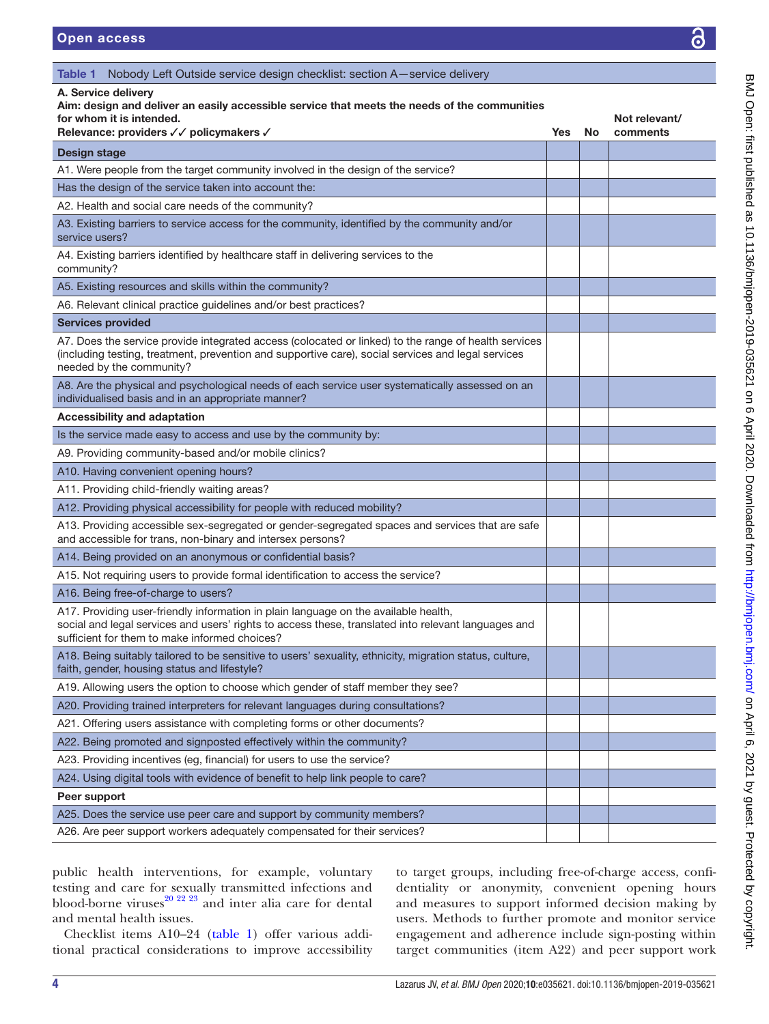<span id="page-3-0"></span>

| Table 1 Nobody Left Outside service design checklist: section A-service delivery                                                                                                                                                            |     |    |                           |
|---------------------------------------------------------------------------------------------------------------------------------------------------------------------------------------------------------------------------------------------|-----|----|---------------------------|
| A. Service delivery<br>Aim: design and deliver an easily accessible service that meets the needs of the communities                                                                                                                         |     |    |                           |
| for whom it is intended.<br>Relevance: providers √ y policymakers √                                                                                                                                                                         | Yes | No | Not relevant/<br>comments |
| <b>Design stage</b>                                                                                                                                                                                                                         |     |    |                           |
| A1. Were people from the target community involved in the design of the service?                                                                                                                                                            |     |    |                           |
| Has the design of the service taken into account the:                                                                                                                                                                                       |     |    |                           |
| A2. Health and social care needs of the community?                                                                                                                                                                                          |     |    |                           |
| A3. Existing barriers to service access for the community, identified by the community and/or<br>service users?                                                                                                                             |     |    |                           |
| A4. Existing barriers identified by healthcare staff in delivering services to the<br>community?                                                                                                                                            |     |    |                           |
| A5. Existing resources and skills within the community?                                                                                                                                                                                     |     |    |                           |
| A6. Relevant clinical practice guidelines and/or best practices?                                                                                                                                                                            |     |    |                           |
| <b>Services provided</b>                                                                                                                                                                                                                    |     |    |                           |
| A7. Does the service provide integrated access (colocated or linked) to the range of health services<br>(including testing, treatment, prevention and supportive care), social services and legal services<br>needed by the community?      |     |    |                           |
| A8. Are the physical and psychological needs of each service user systematically assessed on an<br>individualised basis and in an appropriate manner?                                                                                       |     |    |                           |
| <b>Accessibility and adaptation</b>                                                                                                                                                                                                         |     |    |                           |
| Is the service made easy to access and use by the community by:                                                                                                                                                                             |     |    |                           |
| A9. Providing community-based and/or mobile clinics?                                                                                                                                                                                        |     |    |                           |
| A10. Having convenient opening hours?                                                                                                                                                                                                       |     |    |                           |
| A11. Providing child-friendly waiting areas?                                                                                                                                                                                                |     |    |                           |
| A12. Providing physical accessibility for people with reduced mobility?                                                                                                                                                                     |     |    |                           |
| A13. Providing accessible sex-segregated or gender-segregated spaces and services that are safe<br>and accessible for trans, non-binary and intersex persons?                                                                               |     |    |                           |
| A14. Being provided on an anonymous or confidential basis?                                                                                                                                                                                  |     |    |                           |
| A15. Not requiring users to provide formal identification to access the service?                                                                                                                                                            |     |    |                           |
| A16. Being free-of-charge to users?                                                                                                                                                                                                         |     |    |                           |
| A17. Providing user-friendly information in plain language on the available health,<br>social and legal services and users' rights to access these, translated into relevant languages and<br>sufficient for them to make informed choices? |     |    |                           |
| A18. Being suitably tailored to be sensitive to users' sexuality, ethnicity, migration status, culture,<br>faith, gender, housing status and lifestyle?                                                                                     |     |    |                           |
| A19. Allowing users the option to choose which gender of staff member they see?                                                                                                                                                             |     |    |                           |
| A20. Providing trained interpreters for relevant languages during consultations?                                                                                                                                                            |     |    |                           |
| A21. Offering users assistance with completing forms or other documents?                                                                                                                                                                    |     |    |                           |
| A22. Being promoted and signposted effectively within the community?                                                                                                                                                                        |     |    |                           |
| A23. Providing incentives (eg, financial) for users to use the service?                                                                                                                                                                     |     |    |                           |
| A24. Using digital tools with evidence of benefit to help link people to care?                                                                                                                                                              |     |    |                           |
| Peer support                                                                                                                                                                                                                                |     |    |                           |
| A25. Does the service use peer care and support by community members?                                                                                                                                                                       |     |    |                           |
| A26. Are peer support workers adequately compensated for their services?                                                                                                                                                                    |     |    |                           |

public health interventions, for example, voluntary testing and care for sexually transmitted infections and blood-borne viruses $^{20\,22\,23}$  and inter alia care for dental and mental health issues.

Checklist items A10–24 [\(table](#page-3-0) 1) offer various additional practical considerations to improve accessibility

to target groups, including free-of-charge access, confidentiality or anonymity, convenient opening hours and measures to support informed decision making by users. Methods to further promote and monitor service engagement and adherence include sign-posting within target communities (item A22) and peer support work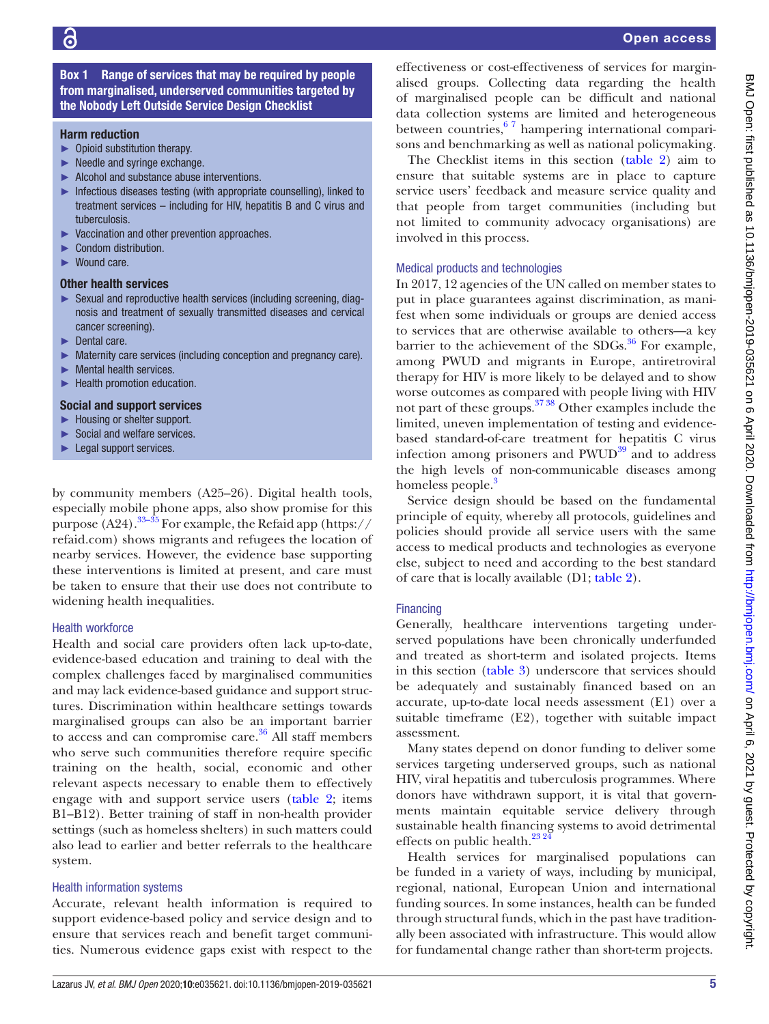Box 1 Range of services that may be required by people from marginalised, underserved communities targeted by the Nobody Left Outside Service Design Checklist

## <span id="page-4-0"></span>Harm reduction

- ► Opioid substitution therapy.
- ► Needle and syringe exchange.
- Alcohol and substance abuse interventions.
- ► Infectious diseases testing (with appropriate counselling), linked to treatment services – including for HIV, hepatitis B and C virus and tuberculosis.
- ► Vaccination and other prevention approaches.
- ► Condom distribution.
- ► Wound care.

# Other health services

- ► Sexual and reproductive health services (including screening, diagnosis and treatment of sexually transmitted diseases and cervical cancer screening).
- ► Dental care.
- ► Maternity care services (including conception and pregnancy care).
- ► Mental health services.
- ► Health promotion education.

### Social and support services

- ► Housing or shelter support.
- ► Social and welfare services.
- Legal support services.

by community members (A25–26). Digital health tools, especially mobile phone apps, also show promise for this purpose (A24)[.33–35](#page-9-5) For example, the Refaid app [\(https://](https://refaid.com) [refaid.com](https://refaid.com)) shows migrants and refugees the location of nearby services. However, the evidence base supporting these interventions is limited at present, and care must be taken to ensure that their use does not contribute to widening health inequalities.

## Health workforce

Health and social care providers often lack up-to-date, evidence-based education and training to deal with the complex challenges faced by marginalised communities and may lack evidence-based guidance and support structures. Discrimination within healthcare settings towards marginalised groups can also be an important barrier to access and can compromise care. $36$  All staff members who serve such communities therefore require specific training on the health, social, economic and other relevant aspects necessary to enable them to effectively engage with and support service users [\(table](#page-5-0) 2; items B1–B12). Better training of staff in non-health provider settings (such as homeless shelters) in such matters could also lead to earlier and better referrals to the healthcare system.

### Health information systems

Accurate, relevant health information is required to support evidence-based policy and service design and to ensure that services reach and benefit target communities. Numerous evidence gaps exist with respect to the

effectiveness or cost-effectiveness of services for marginalised groups. Collecting data regarding the health of marginalised people can be difficult and national data collection systems are limited and heterogeneous between countries,  $67$  hampering international comparisons and benchmarking as well as national policymaking.

The Checklist items in this section ([table](#page-5-0) 2) aim to ensure that suitable systems are in place to capture service users' feedback and measure service quality and that people from target communities (including but not limited to community advocacy organisations) are involved in this process.

### Medical products and technologies

In 2017, 12 agencies of the UN called on member states to put in place guarantees against discrimination, as manifest when some individuals or groups are denied access to services that are otherwise available to others—a key barrier to the achievement of the  $SDGs.<sup>36</sup>$  For example, among PWUD and migrants in Europe, antiretroviral therapy for HIV is more likely to be delayed and to show worse outcomes as compared with people living with HIV not part of these groups.<sup>37</sup> 38</sup> Other examples include the limited, uneven implementation of testing and evidencebased standard-of-care treatment for hepatitis C virus infection among prisoners and PWUD<sup>39</sup> and to address the high levels of non-communicable diseases among homeless people.<sup>3</sup>

Service design should be based on the fundamental principle of equity, whereby all protocols, guidelines and policies should provide all service users with the same access to medical products and technologies as everyone else, subject to need and according to the best standard of care that is locally available (D1; [table](#page-5-0) 2).

### **Financing**

Generally, healthcare interventions targeting underserved populations have been chronically underfunded and treated as short-term and isolated projects. Items in this section [\(table](#page-6-0) 3) underscore that services should be adequately and sustainably financed based on an accurate, up-to-date local needs assessment (E1) over a suitable timeframe (E2), together with suitable impact assessment.

Many states depend on donor funding to deliver some services targeting underserved groups, such as national HIV, viral hepatitis and tuberculosis programmes. Where donors have withdrawn support, it is vital that governments maintain equitable service delivery through sustainable health financing systems to avoid detrimental effects on public health. $^{23}$   $^{24}$ 

Health services for marginalised populations can be funded in a variety of ways, including by municipal, regional, national, European Union and international funding sources. In some instances, health can be funded through structural funds, which in the past have traditionally been associated with infrastructure. This would allow for fundamental change rather than short-term projects.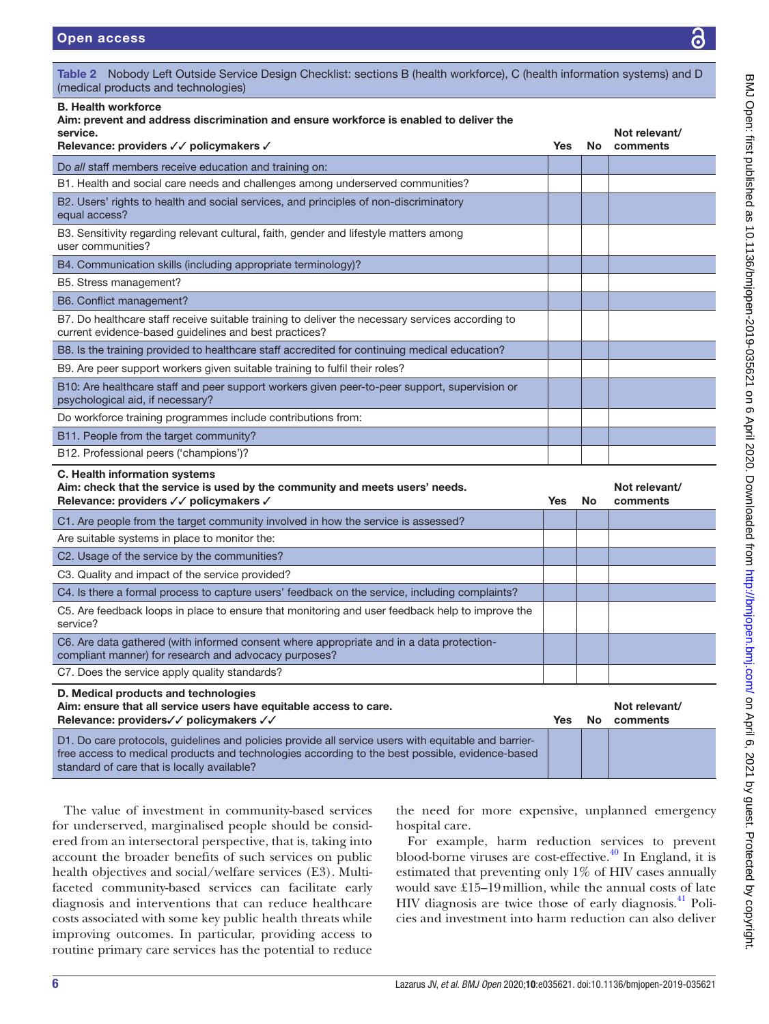service.

(medical products and technologies)

B. Health workforce Aim: prevent and address discrimination and ensure workforce is enabled to deliver the Relevance: providers ✓✓ policymakers ✓ Yes No Not relevant/ comments Do *all* staff members receive education and training on: B1. Health and social care needs and challenges among underserved communities? B2. Users' rights to health and social services, and principles of non-discriminatory equal access? B3. Sensitivity regarding relevant cultural, faith, gender and lifestyle matters among user communities? B4. Communication skills (including appropriate terminology)? B5. Stress management? B6. Conflict management? B7. Do healthcare staff receive suitable training to deliver the necessary services according to current evidence-based guidelines and best practices? B8. Is the training provided to healthcare staff accredited for continuing medical education? B9. Are peer support workers given suitable training to fulfil their roles? B10: Are healthcare staff and peer support workers given peer-to-peer support, supervision or psychological aid, if necessary? Do workforce training programmes include contributions from: B11. People from the target community? B12. Professional peers ('champions')? C. Health information systems Aim: check that the service is used by the community and meets users' needs. Relevance: providers ✓✓ policymakers ✓ Yes No Not relevant/ comments C1. Are people from the target community involved in how the service is assessed? Are suitable systems in place to monitor the: C2. Usage of the service by the communities? C3. Quality and impact of the service provided? C4. Is there a formal process to capture users' feedback on the service, including complaints? C5. Are feedback loops in place to ensure that monitoring and user feedback help to improve the C6. Are data gathered (with informed consent where appropriate and in a data protectioncompliant manner) for research and advocacy purposes? C7. Does the service apply quality standards? D. Medical products and technologies Aim: ensure that all service users have equitable access to care. Relevance: providers✓✓ policymakers ✓✓ Yes No Not relevant/ comments D1. Do care protocols, guidelines and policies provide all service users with equitable and barrierfree access to medical products and technologies according to the best possible, evidence-based standard of care that is locally available?

<span id="page-5-0"></span>Table 2 Nobody Left Outside Service Design Checklist: sections B (health workforce), C (health information systems) and D

The value of investment in community-based services for underserved, marginalised people should be considered from an intersectoral perspective, that is, taking into account the broader benefits of such services on public health objectives and social/welfare services (E3). Multifaceted community-based services can facilitate early diagnosis and interventions that can reduce healthcare costs associated with some key public health threats while improving outcomes. In particular, providing access to routine primary care services has the potential to reduce

the need for more expensive, unplanned emergency hospital care.

For example, harm reduction services to prevent blood-borne viruses are cost-effective.<sup>40</sup> In England, it is estimated that preventing only 1% of HIV cases annually would save £15–19million, while the annual costs of late HIV diagnosis are twice those of early diagnosis.<sup>[41](#page-9-10)</sup> Policies and investment into harm reduction can also deliver

service?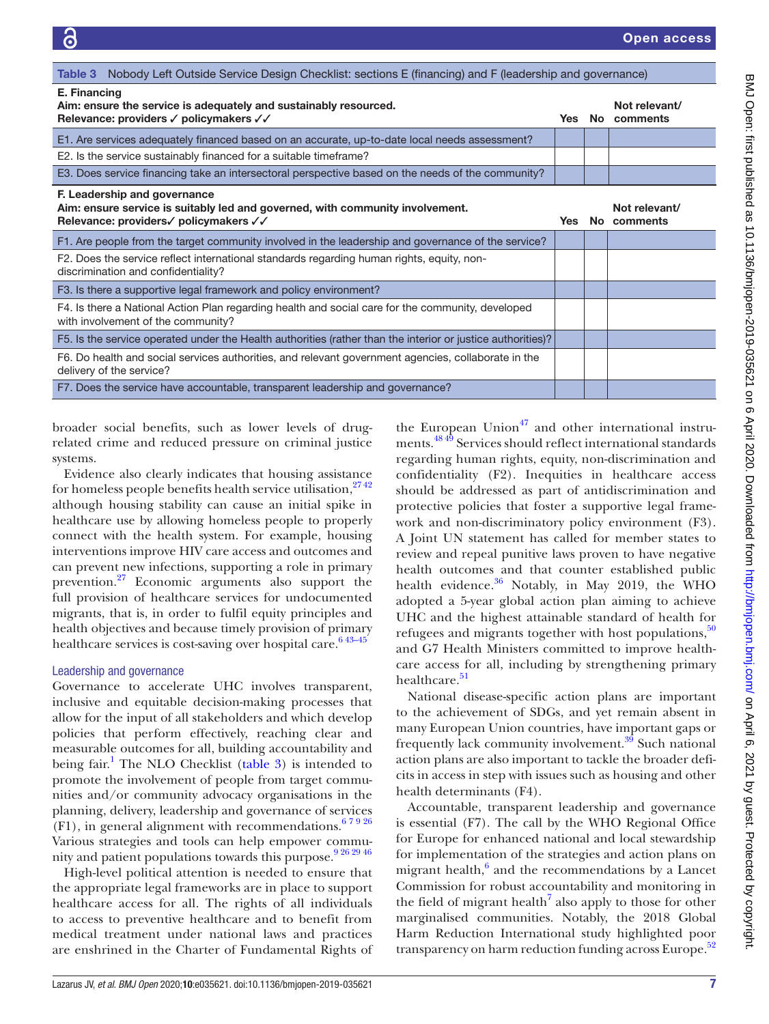<span id="page-6-0"></span>

| Table 3 Nobody Left Outside Service Design Checklist: sections E (financing) and F (leadership and governance)                                         |            |  |                              |  |
|--------------------------------------------------------------------------------------------------------------------------------------------------------|------------|--|------------------------------|--|
| E. Financing<br>Aim: ensure the service is adequately and sustainably resourced.<br>Relevance: providers √ policymakers √√                             | <b>Yes</b> |  | Not relevant/<br>No comments |  |
| E1. Are services adequately financed based on an accurate, up-to-date local needs assessment?                                                          |            |  |                              |  |
| E2. Is the service sustainably financed for a suitable timeframe?                                                                                      |            |  |                              |  |
| E3. Does service financing take an intersectoral perspective based on the needs of the community?                                                      |            |  |                              |  |
| F. Leadership and governance<br>Aim: ensure service is suitably led and governed, with community involvement.<br>Relevance: providers√ policymakers √√ | Yes.       |  | Not relevant/<br>No comments |  |
| F1. Are people from the target community involved in the leadership and governance of the service?                                                     |            |  |                              |  |
| F2. Does the service reflect international standards regarding human rights, equity, non-<br>discrimination and confidentiality?                       |            |  |                              |  |
| F3. Is there a supportive legal framework and policy environment?                                                                                      |            |  |                              |  |
| F4. Is there a National Action Plan regarding health and social care for the community, developed<br>with involvement of the community?                |            |  |                              |  |
| F5. Is the service operated under the Health authorities (rather than the interior or justice authorities)?                                            |            |  |                              |  |
| F6. Do health and social services authorities, and relevant government agencies, collaborate in the<br>delivery of the service?                        |            |  |                              |  |
| F7. Does the service have accountable, transparent leadership and governance?                                                                          |            |  |                              |  |

broader social benefits, such as lower levels of drugrelated crime and reduced pressure on criminal justice systems.

Evidence also clearly indicates that housing assistance for homeless people benefits health service utilisation, $2742$ although housing stability can cause an initial spike in healthcare use by allowing homeless people to properly connect with the health system. For example, housing interventions improve HIV care access and outcomes and can prevent new infections, supporting a role in primary prevention.[27](#page-9-11) Economic arguments also support the full provision of healthcare services for undocumented migrants, that is, in order to fulfil equity principles and health objectives and because timely provision of primary healthcare services is cost-saving over hospital care.<sup>6 43-45</sup>

## Leadership and governance

Governance to accelerate UHC involves transparent, inclusive and equitable decision-making processes that allow for the input of all stakeholders and which develop policies that perform effectively, reaching clear and measurable outcomes for all, building accountability and being fair.<sup>1</sup> The NLO Checklist ([table](#page-6-0) 3) is intended to promote the involvement of people from target communities and/or community advocacy organisations in the planning, delivery, leadership and governance of services (F1), in general alignment with recommendations. $67926$ Various strategies and tools can help empower commu-nity and patient populations towards this purpose.<sup>[9 26 29 46](#page-8-11)</sup>

High-level political attention is needed to ensure that the appropriate legal frameworks are in place to support healthcare access for all. The rights of all individuals to access to preventive healthcare and to benefit from medical treatment under national laws and practices are enshrined in the Charter of Fundamental Rights of

the European Union $47$  and other international instruments.[48 49](#page-9-13) Services should reflect international standards regarding human rights, equity, non-discrimination and confidentiality (F2). Inequities in healthcare access should be addressed as part of antidiscrimination and protective policies that foster a supportive legal framework and non-discriminatory policy environment (F3). A Joint UN statement has called for member states to review and repeal punitive laws proven to have negative health outcomes and that counter established public health evidence. $36$  Notably, in May 2019, the WHO adopted a 5-year global action plan aiming to achieve UHC and the highest attainable standard of health for refugees and migrants together with host populations,<sup>[50](#page-9-14)</sup> and G7 Health Ministers committed to improve healthcare access for all, including by strengthening primary healthcare.<sup>[51](#page-9-15)</sup>

National disease-specific action plans are important to the achievement of SDGs, and yet remain absent in many European Union countries, have important gaps or frequently lack community involvement. $39$  Such national action plans are also important to tackle the broader deficits in access in step with issues such as housing and other health determinants (F4).

Accountable, transparent leadership and governance is essential (F7). The call by the WHO Regional Office for Europe for enhanced national and local stewardship for implementation of the strategies and action plans on migrant health, $6$  and the recommendations by a Lancet Commission for robust accountability and monitoring in the field of migrant health<sup>[7](#page-8-19)</sup> also apply to those for other marginalised communities. Notably, the 2018 Global Harm Reduction International study highlighted poor transparency on harm reduction funding across Europe.<sup>[52](#page-9-16)</sup>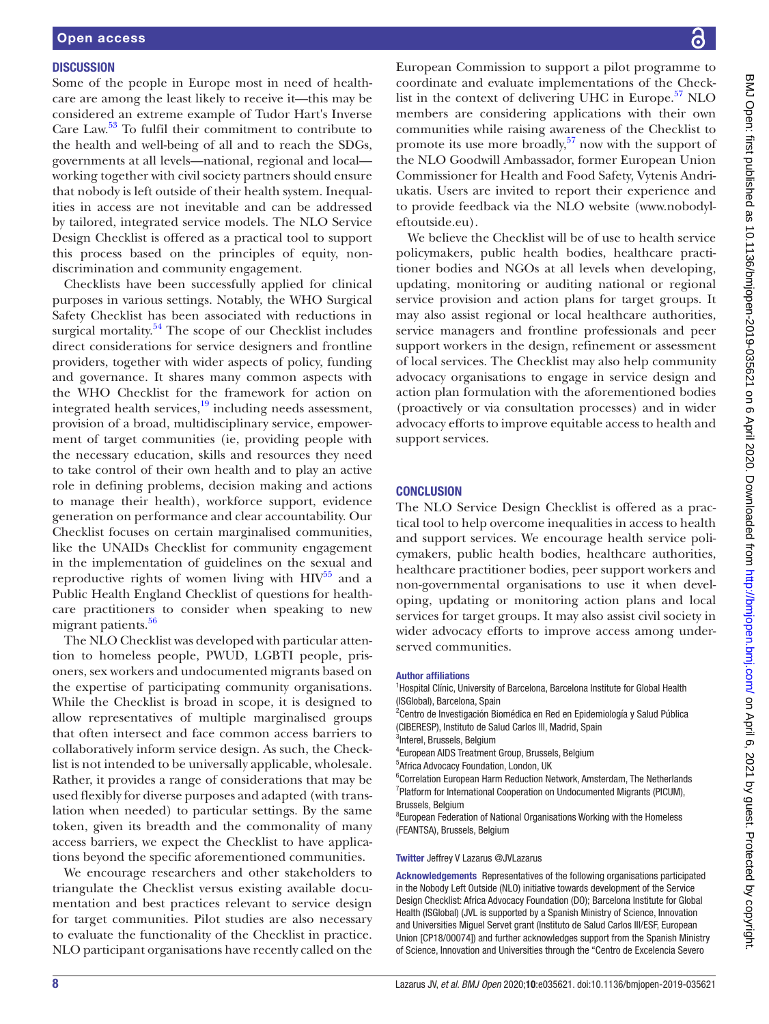## **DISCUSSION**

Some of the people in Europe most in need of healthcare are among the least likely to receive it—this may be considered an extreme example of Tudor Hart's Inverse Care Law. $53$  To fulfil their commitment to contribute to the health and well-being of all and to reach the SDGs, governments at all levels—national, regional and local working together with civil society partners should ensure that nobody is left outside of their health system. Inequalities in access are not inevitable and can be addressed by tailored, integrated service models. The NLO Service Design Checklist is offered as a practical tool to support this process based on the principles of equity, nondiscrimination and community engagement.

Checklists have been successfully applied for clinical purposes in various settings. Notably, the WHO Surgical Safety Checklist has been associated with reductions in surgical mortality. $54$  The scope of our Checklist includes direct considerations for service designers and frontline providers, together with wider aspects of policy, funding and governance. It shares many common aspects with the WHO Checklist for the framework for action on integrated health services, $19$  including needs assessment, provision of a broad, multidisciplinary service, empowerment of target communities (ie, providing people with the necessary education, skills and resources they need to take control of their own health and to play an active role in defining problems, decision making and actions to manage their health), workforce support, evidence generation on performance and clear accountability. Our Checklist focuses on certain marginalised communities, like the UNAIDs Checklist for community engagement in the implementation of guidelines on the sexual and reproductive rights of women living with  $HIV<sup>55</sup>$  $HIV<sup>55</sup>$  $HIV<sup>55</sup>$  and a Public Health England Checklist of questions for healthcare practitioners to consider when speaking to new migrant patients.<sup>[56](#page-9-20)</sup>

The NLO Checklist was developed with particular attention to homeless people, PWUD, LGBTI people, prisoners, sex workers and undocumented migrants based on the expertise of participating community organisations. While the Checklist is broad in scope, it is designed to allow representatives of multiple marginalised groups that often intersect and face common access barriers to collaboratively inform service design. As such, the Checklist is not intended to be universally applicable, wholesale. Rather, it provides a range of considerations that may be used flexibly for diverse purposes and adapted (with translation when needed) to particular settings. By the same token, given its breadth and the commonality of many access barriers, we expect the Checklist to have applications beyond the specific aforementioned communities.

We encourage researchers and other stakeholders to triangulate the Checklist versus existing available documentation and best practices relevant to service design for target communities. Pilot studies are also necessary to evaluate the functionality of the Checklist in practice. NLO participant organisations have recently called on the

European Commission to support a pilot programme to coordinate and evaluate implementations of the Checklist in the context of delivering UHC in Europe. $57$  NLO members are considering applications with their own communities while raising awareness of the Checklist to promote its use more broadly, $57$  now with the support of the NLO Goodwill Ambassador, former European Union Commissioner for Health and Food Safety, Vytenis Andriukatis. Users are invited to report their experience and to provide feedback via the NLO website ([www.nobodyl](www.nobodyleftoutside.eu)[eftoutside.eu](www.nobodyleftoutside.eu)).

We believe the Checklist will be of use to health service policymakers, public health bodies, healthcare practitioner bodies and NGOs at all levels when developing, updating, monitoring or auditing national or regional service provision and action plans for target groups. It may also assist regional or local healthcare authorities, service managers and frontline professionals and peer support workers in the design, refinement or assessment of local services. The Checklist may also help community advocacy organisations to engage in service design and action plan formulation with the aforementioned bodies (proactively or via consultation processes) and in wider advocacy efforts to improve equitable access to health and support services.

## **CONCLUSION**

The NLO Service Design Checklist is offered as a practical tool to help overcome inequalities in access to health and support services. We encourage health service policymakers, public health bodies, healthcare authorities, healthcare practitioner bodies, peer support workers and non-governmental organisations to use it when developing, updating or monitoring action plans and local services for target groups. It may also assist civil society in wider advocacy efforts to improve access among underserved communities.

#### Author affiliations

<sup>1</sup> Hospital Clínic, University of Barcelona, Barcelona Institute for Global Health (ISGlobal), Barcelona, Spain

<sup>2</sup> Centro de Investigación Biomédica en Red en Epidemiología y Salud Pública (CIBERESP), Instituto de Salud Carlos III, Madrid, Spain

<sup>3</sup>Interel, Brussels, Belgium

4 European AIDS Treatment Group, Brussels, Belgium

5 Africa Advocacy Foundation, London, UK

6 Correlation European Harm Reduction Network, Amsterdam, The Netherlands <sup>7</sup>Platform for International Cooperation on Undocumented Migrants (PICUM), Brussels, Belgium

<sup>8</sup> European Federation of National Organisations Working with the Homeless (FEANTSA), Brussels, Belgium

#### Twitter Jeffrey V Lazarus [@JVLazarus](https://twitter.com/JVLazarus)

Acknowledgements Representatives of the following organisations participated in the Nobody Left Outside (NLO) initiative towards development of the Service Design Checklist: Africa Advocacy Foundation (DO); Barcelona Institute for Global Health (ISGlobal) (JVL is supported by a Spanish Ministry of Science, Innovation and Universities Miguel Servet grant (Instituto de Salud Carlos III/ESF, European Union [CP18/00074]) and further acknowledges support from the Spanish Ministry of Science, Innovation and Universities through the "Centro de Excelencia Severo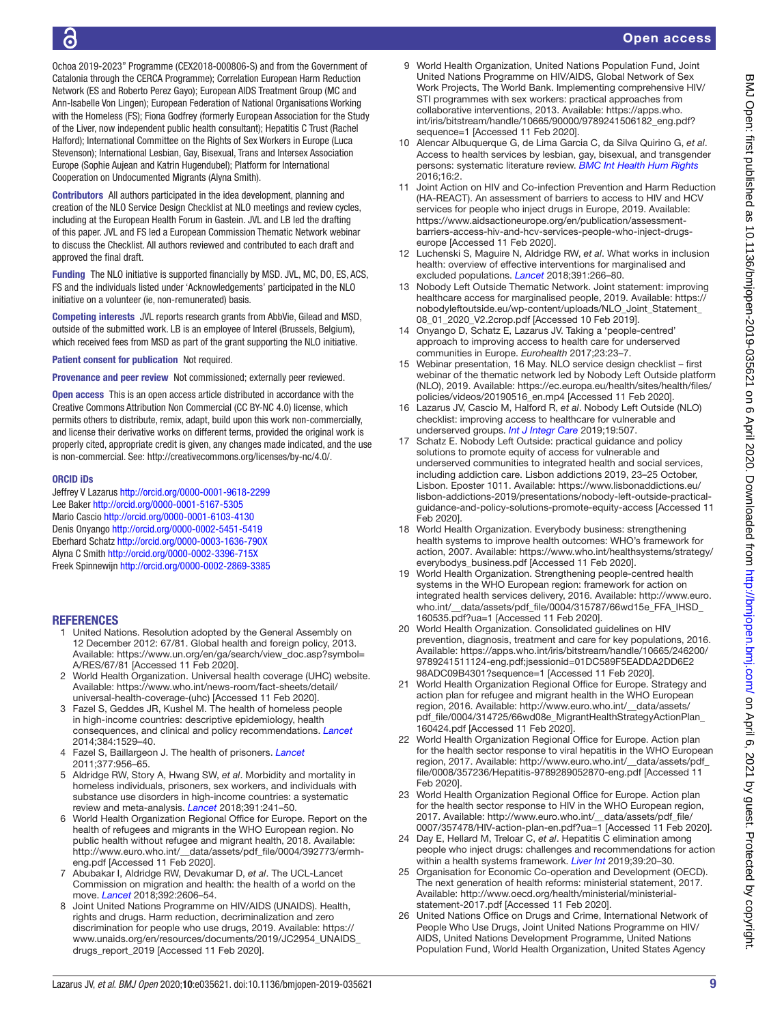Open access

Ochoa 2019-2023" Programme (CEX2018-000806-S) and from the Government of Catalonia through the CERCA Programme); Correlation European Harm Reduction Network (ES and Roberto Perez Gayo); European AIDS Treatment Group (MC and Ann-Isabelle Von Lingen); European Federation of National Organisations Working with the Homeless (FS); Fiona Godfrey (formerly European Association for the Study of the Liver, now independent public health consultant); Hepatitis C Trust (Rachel Halford); International Committee on the Rights of Sex Workers in Europe (Luca Stevenson); International Lesbian, Gay, Bisexual, Trans and Intersex Association Europe (Sophie Aujean and Katrin Hugendubel); Platform for International Cooperation on Undocumented Migrants (Alyna Smith).

Contributors All authors participated in the idea development, planning and creation of the NLO Service Design Checklist at NLO meetings and review cycles, including at the European Health Forum in Gastein. JVL and LB led the drafting of this paper. JVL and FS led a European Commission Thematic Network webinar to discuss the Checklist. All authors reviewed and contributed to each draft and approved the final draft.

Funding The NLO initiative is supported financially by MSD. JVL, MC, DO, ES, ACS, FS and the individuals listed under 'Acknowledgements' participated in the NLO initiative on a volunteer (ie, non-remunerated) basis.

Competing interests JVL reports research grants from AbbVie, Gilead and MSD, outside of the submitted work. LB is an employee of Interel (Brussels, Belgium), which received fees from MSD as part of the grant supporting the NLO initiative.

Patient consent for publication Not required.

Provenance and peer review Not commissioned; externally peer reviewed.

Open access This is an open access article distributed in accordance with the Creative Commons Attribution Non Commercial (CC BY-NC 4.0) license, which permits others to distribute, remix, adapt, build upon this work non-commercially, and license their derivative works on different terms, provided the original work is properly cited, appropriate credit is given, any changes made indicated, and the use is non-commercial. See: [http://creativecommons.org/licenses/by-nc/4.0/.](http://creativecommons.org/licenses/by-nc/4.0/)

#### ORCID iDs

Jeffrey V Lazarus<http://orcid.org/0000-0001-9618-2299> Lee Baker<http://orcid.org/0000-0001-5167-5305> Mario Cascio <http://orcid.org/0000-0001-6103-4130> Denis Onyango<http://orcid.org/0000-0002-5451-5419> Eberhard Schatz <http://orcid.org/0000-0003-1636-790X> Alyna C Smith <http://orcid.org/0000-0002-3396-715X> Freek Spinnewijn<http://orcid.org/0000-0002-2869-3385>

## **REFERENCES**

- <span id="page-8-0"></span>1 United Nations. Resolution adopted by the General Assembly on 12 December 2012: 67/81. Global health and foreign policy, 2013. Available: [https://www.un.org/en/ga/search/view\\_doc.asp?symbol=](https://www.un.org/en/ga/search/view_doc.asp?symbol=A/RES/67/81) [A/RES/67/81](https://www.un.org/en/ga/search/view_doc.asp?symbol=A/RES/67/81) [Accessed 11 Feb 2020].
- <span id="page-8-12"></span>2 World Health Organization. Universal health coverage (UHC) website. Available: [https://www.who.int/news-room/fact-sheets/detail/](https://www.who.int/news-room/fact-sheets/detail/universal-health-coverage-(uhc)) [universal-health-coverage-\(uhc\)](https://www.who.int/news-room/fact-sheets/detail/universal-health-coverage-(uhc)) [Accessed 11 Feb 2020].
- <span id="page-8-1"></span>3 Fazel S, Geddes JR, Kushel M. The health of homeless people in high-income countries: descriptive epidemiology, health consequences, and clinical and policy recommendations. *[Lancet](http://dx.doi.org/10.1016/S0140-6736(14)61132-6)* 2014;384:1529–40.
- 4 Fazel S, Baillargeon J. The health of prisoners. *[Lancet](http://dx.doi.org/10.1016/S0140-6736(10)61053-7)* 2011;377:956–65.
- <span id="page-8-16"></span>5 Aldridge RW, Story A, Hwang SW, *et al*. Morbidity and mortality in homeless individuals, prisoners, sex workers, and individuals with substance use disorders in high-income countries: a systematic review and meta-analysis. *[Lancet](http://dx.doi.org/10.1016/S0140-6736(17)31869-X)* 2018;391:241–50.
- <span id="page-8-2"></span>6 World Health Organization Regional Office for Europe. Report on the health of refugees and migrants in the WHO European region. No public health without refugee and migrant health, 2018. Available: [http://www.euro.who.int/\\_\\_data/assets/pdf\\_file/0004/392773/ermh](http://www.euro.who.int/__data/assets/pdf_file/0004/392773/ermh-eng.pdf)[eng.pdf](http://www.euro.who.int/__data/assets/pdf_file/0004/392773/ermh-eng.pdf) [Accessed 11 Feb 2020].
- <span id="page-8-19"></span>7 Abubakar I, Aldridge RW, Devakumar D, *et al*. The UCL-Lancet Commission on migration and health: the health of a world on the move. *[Lancet](http://dx.doi.org/10.1016/S0140-6736(18)32114-7)* 2018;392:2606–54.
- <span id="page-8-15"></span>8 Joint United Nations Programme on HIV/AIDS (UNAIDS). Health, rights and drugs. Harm reduction, decriminalization and zero discrimination for people who use drugs, 2019. Available: [https://](https://www.unaids.org/en/resources/documents/2019/JC2954_UNAIDS_drugs_report_2019) [www.unaids.org/en/resources/documents/2019/JC2954\\_UNAIDS\\_](https://www.unaids.org/en/resources/documents/2019/JC2954_UNAIDS_drugs_report_2019) [drugs\\_report\\_2019](https://www.unaids.org/en/resources/documents/2019/JC2954_UNAIDS_drugs_report_2019) [Accessed 11 Feb 2020].
- <span id="page-8-11"></span>9 World Health Organization, United Nations Population Fund, Joint United Nations Programme on HIV/AIDS, Global Network of Sex Work Projects, The World Bank. Implementing comprehensive HIV/ STI programmes with sex workers: practical approaches from collaborative interventions, 2013. Available: [https://apps.who.](https://apps.who.int/iris/bitstream/handle/10665/90000/9789241506182_eng.pdf?sequence=1) [int/iris/bitstream/handle/10665/90000/9789241506182\\_eng.pdf?](https://apps.who.int/iris/bitstream/handle/10665/90000/9789241506182_eng.pdf?sequence=1) [sequence=1](https://apps.who.int/iris/bitstream/handle/10665/90000/9789241506182_eng.pdf?sequence=1) [Accessed 11 Feb 2020].
- 10 Alencar Albuquerque G, de Lima Garcia C, da Silva Quirino G, *et al*. Access to health services by lesbian, gay, bisexual, and transgender persons: systematic literature review. *[BMC Int Health Hum Rights](http://dx.doi.org/10.1186/s12914-015-0072-9)* 2016;16:2.
- 11 Joint Action on HIV and Co-infection Prevention and Harm Reduction (HA-REACT). An assessment of barriers to access to HIV and HCV services for people who inject drugs in Europe, 2019. Available: [https://www.aidsactioneurope.org/en/publication/assessment](https://www.aidsactioneurope.org/en/publication/assessment-barriers-access-hiv-and-hcv-services-people-who-inject-drugs-europe)[barriers-access-hiv-and-hcv-services-people-who-inject-drugs](https://www.aidsactioneurope.org/en/publication/assessment-barriers-access-hiv-and-hcv-services-people-who-inject-drugs-europe)[europe](https://www.aidsactioneurope.org/en/publication/assessment-barriers-access-hiv-and-hcv-services-people-who-inject-drugs-europe) [Accessed 11 Feb 2020].
- <span id="page-8-3"></span>12 Luchenski S, Maguire N, Aldridge RW, *et al*. What works in inclusion health: overview of effective interventions for marginalised and excluded populations. *[Lancet](http://dx.doi.org/10.1016/S0140-6736(17)31959-1)* 2018;391:266–80.
- <span id="page-8-4"></span>13 Nobody Left Outside Thematic Network. Joint statement: improving healthcare access for marginalised people, 2019. Available: [https://](https://nobodyleftoutside.eu/wp-content/uploads/NLO_Joint_Statement_08_01_2020_V2.2crop.pdf) [nobodyleftoutside.eu/wp-content/uploads/NLO\\_Joint\\_Statement\\_](https://nobodyleftoutside.eu/wp-content/uploads/NLO_Joint_Statement_08_01_2020_V2.2crop.pdf) [08\\_01\\_2020\\_V2.2crop.pdf](https://nobodyleftoutside.eu/wp-content/uploads/NLO_Joint_Statement_08_01_2020_V2.2crop.pdf) [Accessed 10 Feb 2019].
- <span id="page-8-5"></span>14 Onyango D, Schatz E, Lazarus JV. Taking a 'people-centred' approach to improving access to health care for underserved communities in Europe. *Eurohealth* 2017;23:23–7.
- <span id="page-8-6"></span>15 Webinar presentation, 16 May. NLO service design checklist – first webinar of the thematic network led by Nobody Left Outside platform (NLO), 2019. Available: [https://ec.europa.eu/health/sites/health/files/](https://ec.europa.eu/health/sites/health/files/policies/videos/20190516_en.mp4) [policies/videos/20190516\\_en.mp4](https://ec.europa.eu/health/sites/health/files/policies/videos/20190516_en.mp4) [Accessed 11 Feb 2020].
- <span id="page-8-7"></span>16 Lazarus JV, Cascio M, Halford R, *et al*. Nobody Left Outside (NLO) checklist: improving access to healthcare for vulnerable and underserved groups. *[Int J Integr Care](http://dx.doi.org/10.5334/ijic.s3507)* 2019;19:507.
- <span id="page-8-8"></span>17 Schatz E. Nobody Left Outside: practical guidance and policy solutions to promote equity of access for vulnerable and underserved communities to integrated health and social services, including addiction care. Lisbon addictions 2019, 23–25 October, Lisbon. Eposter 1011. Available: [https://www.lisbonaddictions.eu/](https://www.lisbonaddictions.eu/lisbon-addictions-2019/presentations/nobody-left-outside-practical-guidance-and-policy-solutions-promote-equity-access) [lisbon-addictions-2019/presentations/nobody-left-outside-practical](https://www.lisbonaddictions.eu/lisbon-addictions-2019/presentations/nobody-left-outside-practical-guidance-and-policy-solutions-promote-equity-access)[guidance-and-policy-solutions-promote-equity-access](https://www.lisbonaddictions.eu/lisbon-addictions-2019/presentations/nobody-left-outside-practical-guidance-and-policy-solutions-promote-equity-access) [Accessed 11 Feb 2020].
- <span id="page-8-9"></span>18 World Health Organization. Everybody business: strengthening health systems to improve health outcomes: WHO's framework for action, 2007. Available: [https://www.who.int/healthsystems/strategy/](https://www.who.int/healthsystems/strategy/everybodys_business.pdf) [everybodys\\_business.pdf](https://www.who.int/healthsystems/strategy/everybodys_business.pdf) [Accessed 11 Feb 2020].
- <span id="page-8-10"></span>19 World Health Organization. Strengthening people-centred health systems in the WHO European region: framework for action on integrated health services delivery, 2016. Available: [http://www.euro.](http://www.euro.who.int/__data/assets/pdf_file/0004/315787/66wd15e_FFA_IHSD_160535.pdf?ua=1) who.int/ data/assets/pdf\_file/0004/315787/66wd15e\_FFA\_IHSD [160535.pdf?ua=1](http://www.euro.who.int/__data/assets/pdf_file/0004/315787/66wd15e_FFA_IHSD_160535.pdf?ua=1) [Accessed 11 Feb 2020].
- <span id="page-8-17"></span>20 World Health Organization. Consolidated guidelines on HIV prevention, diagnosis, treatment and care for key populations, 2016. Available: [https://apps.who.int/iris/bitstream/handle/10665/246200/](https://apps.who.int/iris/bitstream/handle/10665/246200/9789241511124-eng.pdf;jsessionid=01DC589F5EADDA2DD6E298ADC09B4301?sequence=1) [9789241511124-eng.pdf;jsessionid=01DC589F5EADDA2DD6E2](https://apps.who.int/iris/bitstream/handle/10665/246200/9789241511124-eng.pdf;jsessionid=01DC589F5EADDA2DD6E298ADC09B4301?sequence=1) [98ADC09B4301?sequence=1](https://apps.who.int/iris/bitstream/handle/10665/246200/9789241511124-eng.pdf;jsessionid=01DC589F5EADDA2DD6E298ADC09B4301?sequence=1) [Accessed 11 Feb 2020].
- 21 World Health Organization Regional Office for Europe. Strategy and action plan for refugee and migrant health in the WHO European region, 2016. Available: [http://www.euro.who.int/\\_\\_data/assets/](http://www.euro.who.int/__data/assets/pdf_file/0004/314725/66wd08e_MigrantHealthStrategyActionPlan_160424.pdf) pdf\_file/0004/314725/66wd08e\_MigrantHealthStrategyActionPlan [160424.pdf](http://www.euro.who.int/__data/assets/pdf_file/0004/314725/66wd08e_MigrantHealthStrategyActionPlan_160424.pdf) [Accessed 11 Feb 2020].
- <span id="page-8-14"></span>22 World Health Organization Regional Office for Europe. Action plan for the health sector response to viral hepatitis in the WHO European region, 2017. Available: [http://www.euro.who.int/\\_\\_data/assets/pdf\\_](http://www.euro.who.int/__data/assets/pdf_file/0008/357236/Hepatitis-9789289052870-eng.pdf) [file/0008/357236/Hepatitis-9789289052870-eng.pdf](http://www.euro.who.int/__data/assets/pdf_file/0008/357236/Hepatitis-9789289052870-eng.pdf) [Accessed 11 Feb 2020].
- <span id="page-8-18"></span>23 World Health Organization Regional Office for Europe. Action plan for the health sector response to HIV in the WHO European region, 2017. Available: http://www.euro.who.int/ data/assets/pdf\_file/ [0007/357478/HIV-action-plan-en.pdf?ua=1](http://www.euro.who.int/__data/assets/pdf_file/0007/357478/HIV-action-plan-en.pdf?ua=1) [Accessed 11 Feb 2020].
- 24 Day E, Hellard M, Treloar C, *et al*. Hepatitis C elimination among people who inject drugs: challenges and recommendations for action within a health systems framework. *[Liver Int](http://dx.doi.org/10.1111/liv.13949)* 2019;39:20–30.
- <span id="page-8-13"></span>25 Organisation for Economic Co-operation and Development (OECD). The next generation of health reforms: ministerial statement, 2017. Available: [http://www.oecd.org/health/ministerial/ministerial](http://www.oecd.org/health/ministerial/ministerial-statement-2017.pdf)[statement-2017.pdf](http://www.oecd.org/health/ministerial/ministerial-statement-2017.pdf) [Accessed 11 Feb 2020].
- 26 United Nations Office on Drugs and Crime, International Network of People Who Use Drugs, Joint United Nations Programme on HIV/ AIDS, United Nations Development Programme, United Nations Population Fund, World Health Organization, United States Agency